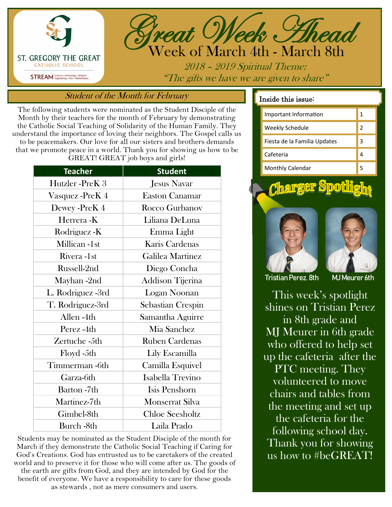



2018 – 2019 Spiritual Theme: "The gifts we have we are given to share"

## Student of the Month for February

The following students were nominated as the Student Disciple of the Month by their teachers for the month of February by demonstrating the Catholic Social Teaching of Solidarity of the Human Family. They understand the importance of loving their neighbors. The Gospel calls us to be peacemakers. Our love for all our sisters and brothers demands that we promote peace in a world. Thank you for showing us how to be GREAT! GREAT job boys and girls!

| <b>Student</b>           |
|--------------------------|
| <b>Jesus Navar</b>       |
| <b>Easton Canamar</b>    |
| Rocco Gurbanov           |
| Liliana DeLuna           |
| Emma Light               |
| Karis Cardenas           |
| Galilea Martinez         |
| Diego Concha             |
| Addison Tijerina         |
| Logan Noonan             |
| <b>Sebastian Crespin</b> |
| Samantha Aguirre         |
| Mia Sanchez              |
| <b>Ruben Cardenas</b>    |
| Lily Escamilla           |
| Camilla Esquivel         |
| Isabella Trevino         |
| Isis Penshorn            |
| Monserrat Silva          |
| <b>Chloe Seesholtz</b>   |
| Laila Prado              |
|                          |

Students may be nominated as the Student Disciple of the month for March if they demonstrate the Catholic Social Teaching if Caring for God's Creations. God has entrusted us to be caretakers of the created world and to preserve it for those who will come after us. The goods of the earth are gifts from God, and they are intended by God for the benefit of everyone. We have a responsibility to care for these goods as stewards , not as mere consumers and users.

### Inside this issue:

| Important Information        | 1 |
|------------------------------|---|
| <b>Weekly Schedule</b>       | 2 |
| Fiesta de la Familia Updates | 3 |
| Cafeteria                    |   |
| Monthly Calendar             |   |

<u>Charger Spotlight</u>





Tristian Perez. 8th MJ Meurer 6th

This week's spotlight shines on Tristian Perez in 8th grade and MJ Meurer in 6th grade who offered to help set up the cafeteria after the PTC meeting. They volunteered to move chairs and tables from the meeting and set up the cafeteria for the following school day. Thank you for showing us how to #beGREAT!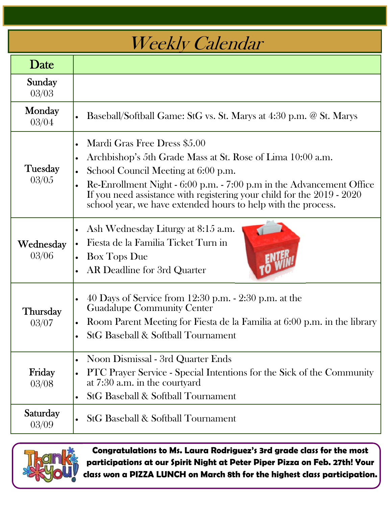# Weekly Calendar

| Date               |                                                                                                                                                                                                                                                                                                                                                                                             |
|--------------------|---------------------------------------------------------------------------------------------------------------------------------------------------------------------------------------------------------------------------------------------------------------------------------------------------------------------------------------------------------------------------------------------|
| Sunday<br>03/03    |                                                                                                                                                                                                                                                                                                                                                                                             |
| Monday<br>03/04    | Baseball/Softball Game: StG vs. St. Marys at 4:30 p.m. @ St. Marys                                                                                                                                                                                                                                                                                                                          |
| Tuesday<br>03/05   | Mardi Gras Free Dress \$5.00<br>$\bullet$<br>Archbishop's 5th Grade Mass at St. Rose of Lima 10:00 a.m.<br>$\bullet$<br>School Council Meeting at 6:00 p.m.<br>$\bullet$<br>Re-Enrollment Night - 6:00 p.m. - 7:00 p.m in the Advancement Office<br>If you need assistance with registering your child for the 2019 - 2020<br>school year, we have extended hours to help with the process. |
| Wednesday<br>03/06 | Ash Wednesday Liturgy at 8:15 a.m.<br>$\bullet$<br>Fiesta de la Familia Ticket Turn in<br><b>Box Tops Due</b><br>AR Deadline for 3rd Quarter                                                                                                                                                                                                                                                |
| Thursday<br>03/07  | 40 Days of Service from 12:30 p.m. - 2:30 p.m. at the<br>$\bullet$<br><b>Guadalupe Community Center</b><br>Room Parent Meeting for Fiesta de la Familia at 6:00 p.m. in the library<br>$\bullet$<br>• StG Baseball & Softball Tournament                                                                                                                                                    |
| Friday<br>03/08    | Noon Dismissal - 3rd Quarter Ends<br>$\bullet$<br>PTC Prayer Service - Special Intentions for the Sick of the Community<br>$\bullet$<br>at 7:30 a.m. in the courtyard<br><b>StG Baseball &amp; Softball Tournament</b>                                                                                                                                                                      |
| Saturday<br>03/09  | <b>StG Baseball &amp; Softball Tournament</b><br>$\bullet$                                                                                                                                                                                                                                                                                                                                  |



**Congratulations to Ms. Laura Rodriguez's 3rd grade class for the most participations at our Spirit Night at Peter Piper Pizza on Feb. 27th! Your class won a PIZZA LUNCH on March 8th for the highest class participation.**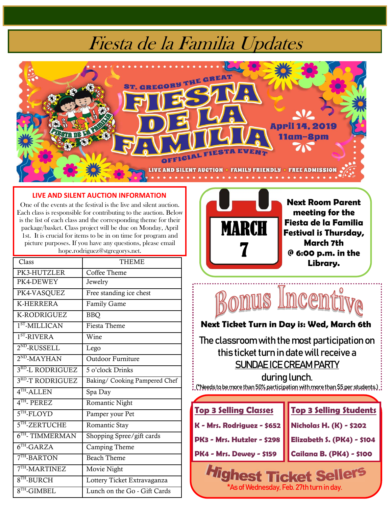# Fiesta de la Familia Updates



#### **LIVE AND SILENT AUCTION INFORMATION**

One of the events at the festival is the live and silent auction. Each class is responsible for contributing to the auction. Below is the list of each class and the corresponding theme for their package/basket. Class project will be due on Monday, April 1st. It is crucial for items to be in on time for program and picture purposes. If you have any questions, please email hope.rodriguez@stgregorys.net.

| Class             | <b>THEME</b>                  |
|-------------------|-------------------------------|
| PK3-HUTZLER       | Coffee Theme                  |
| PK4-DEWEY         | Jewelry                       |
| PK4-VASQUEZ       | Free standing ice chest       |
| <b>K-HERRERA</b>  | <b>Family Game</b>            |
| K-RODRIGUEZ       | <b>BBQ</b>                    |
| $1ST$ -MILLICAN   | Fiesta Theme                  |
| $1ST$ -RIVERA     | Wine                          |
| $2^{ND}$ -RUSSELL | Lego                          |
| $2^{ND}$ -MAYHAN  | Outdoor Furniture             |
| 3RD-L RODRIGUEZ   | 5 o'clock Drinks              |
| 3RD-T RODRIGUEZ   | Baking/ Cooking Pampered Chef |
| $4TH$ -ALLEN      | Spa Day                       |
| $4TH$ - PEREZ     | Romantic Night                |
| $5TH - FLOYD$     | Pamper your Pet               |
| $5TH$ -ZERTUCHE   | Romantic Stay                 |
| $6TH$ - TIMMERMAN | Shopping Spree/gift cards     |
| $6TH$ -GARZA      | Camping Theme                 |
| $7TH$ -BARTON     | <b>Beach Theme</b>            |
| $7TH$ -MARTINEZ   | Movie Night                   |
| $8TH$ -BURCH      | Lottery Ticket Extravaganza   |
| $8TH$ -GIMBEL     | Lunch on the Go - Gift Cards  |



**Next Room Parent meeting for the Fiesta de la Familia Festival is Thursday, March 7th @ 6:00 p.m. in the Library.** 



### **Next Ticket Turn in Day is: Wed, March 6th**

The classroom with the most participation on this ticket turn in date will receive a SUNDAE ICE CREAM PARTY

.<br>. (\*Needs to be more than 50% participation with more than \$5 per students)<br>.



\*As of Wednesday, Feb. 27th turn in day.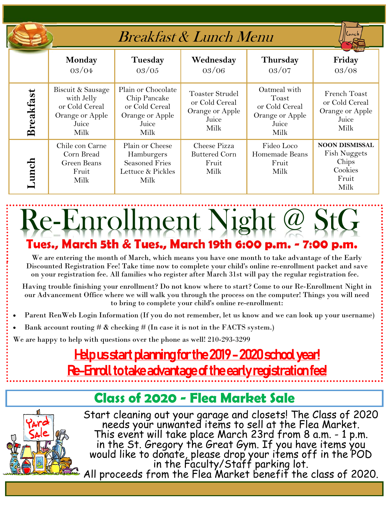|  |                  |                                                                                       | <i>Breakfast &amp; Lunch Menu</i>                                                        | Lunc                                                                         |                                                                             |                                                                                   |  |
|--|------------------|---------------------------------------------------------------------------------------|------------------------------------------------------------------------------------------|------------------------------------------------------------------------------|-----------------------------------------------------------------------------|-----------------------------------------------------------------------------------|--|
|  |                  | Monday<br>03/04                                                                       | Tuesday<br>03/05                                                                         | Wednesday<br>03/06                                                           | Thursday<br>03/07                                                           | Friday<br>03/08                                                                   |  |
|  | <b>Breakfast</b> | Biscuit & Sausage<br>with Jelly<br>or Cold Cereal<br>Orange or Apple<br>Juice<br>Milk | Plain or Chocolate<br>Chip Pancake<br>or Cold Cereal<br>Orange or Apple<br>Juice<br>Milk | <b>Toaster Strudel</b><br>or Cold Cereal<br>Orange or Apple<br>Juice<br>Milk | Oatmeal with<br>Toast<br>or Cold Cereal<br>Orange or Apple<br>Juice<br>Milk | French Toast<br>or Cold Cereal<br>Orange or Apple<br>Juice<br>Milk                |  |
|  | Anch             | Chile con Carne<br>Corn Bread<br>Green Beans<br>Fruit<br>Milk                         | Plain or Cheese<br>Hamburgers<br><b>Seasoned Fries</b><br>Lettuce & Pickles<br>Milk      | Cheese Pizza<br><b>Buttered Corn</b><br>Fruit<br>Milk                        | Fideo Loco<br>Homemade Beans<br>Fruit<br>Milk                               | <b>NOON DISMISSAL</b><br><b>Fish Nuggets</b><br>Chips<br>Cookies<br>Fruit<br>Milk |  |

# **Tues., March 5th & Tues., March 19th 6:00 p.m. - 7:00 p.m.**  Re-Enrollment Night @ StG

We are entering the month of March, which means you have one month to take advantage of the Early Discounted Registration Fee! Take time now to complete your child's online re-enrollment packet and save on your registration fee. All families who register after March 31st will pay the regular registration fee.

Having trouble finishing your enrollment? Do not know where to start? Come to our Re-Enrollment Night in our Advancement Office where we will walk you through the process on the computer! Things you will need to bring to complete your child's online re-enrollment:

- Parent RenWeb Login Information (If you do not remember, let us know and we can look up your username)
- Bank account routing  $\#\&$  checking  $\#$  (In case it is not in the FACTS system.)

We are happy to help with questions over the phone as well! 210-293-3299

## <u> Help us start planning for the 2019 - 2020 school year!</u> <u>Re-Enroll to take advantage of the early registration fee!</u>

## **Class of 2020 - Flea Market Sale**



Start cleaning out your garage and closets! The Class of 2020 needs your unwanted items to sell at the Flea Market. This event will take place March 23rd from 8 a.m. - 1 p.m. in the St. Gregory the Great Gym. If you have items you would like to donate, please drop your items off in the POD in the Faculty/Staff parking lot. All proceeds from the Flea Market benefit the class of 2020.